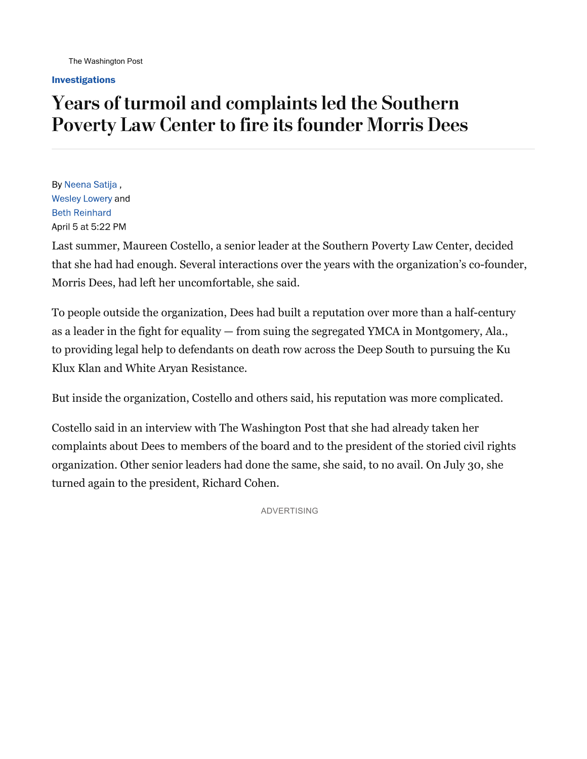#### Investigations

# **Years of turmoil and complaints led the Southern Poverty Law Center to fire its founder Morris Dees**

By Neena Satija, Wesley Lowery and **Beth Reinhard** April 5 at 5:22 PM

Last summer, Maureen Costello, a senior leader at the Southern Poverty Law Center, decided that she had had enough. Several interactions over the years with the organization's co-founder, Morris Dees, had left her uncomfortable, she said.

To people outside the organization, Dees had built a reputation over more than a half-century as a leader in the fight for equality — from suing the segregated YMCA in Montgomery, Ala., to providing legal help to defendants on death row across the Deep South to pursuing the Ku Klux Klan and White Aryan Resistance.

But inside the organization, Costello and others said, his reputation was more complicated.

Costello said in an interview with The Washington Post that she had already taken her complaints about Dees to members of the board and to the president of the storied civil rights organization. Other senior leaders had done the same, she said, to no avail. On July 30, she turned again to the president, Richard Cohen.

ADVERTISING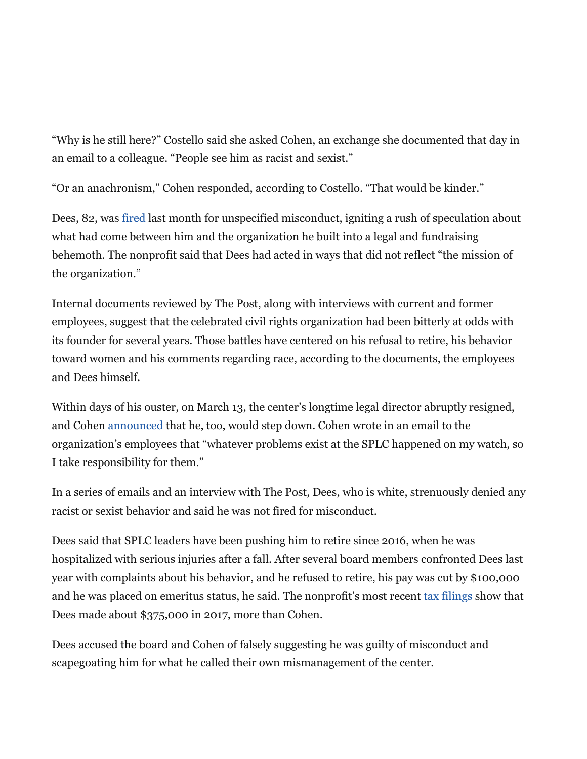"Why is he still here?" Costello said she asked Cohen, an exchange she documented that day in an email to a colleague. "People see him as racist and sexist."

"Or an anachronism," Cohen responded, according to Costello. "That would be kinder."

Dees, 82, was fired last month for unspecified misconduct, igniting a rush of speculation about what had come between him and the organization he built into a legal and fundraising behemoth. The nonprofit said that Dees had acted in ways that did not reflect "the mission of the organization."

Internal documents reviewed by The Post, along with interviews with current and former employees, suggest that the celebrated civil rights organization had been bitterly at odds with its founder for several years. Those battles have centered on his refusal to retire, his behavior toward women and his comments regarding race, according to the documents, the employees and Dees himself.

Within days of his ouster, on March 13, the center's longtime legal director abruptly resigned, and Cohen announced that he, too, would step down. Cohen wrote in an email to the organization's employees that "whatever problems exist at the SPLC happened on my watch, so I take responsibility for them."

In a series of emails and an interview with The Post, Dees, who is white, strenuously denied any racist or sexist behavior and said he was not fired for misconduct.

Dees said that SPLC leaders have been pushing him to retire since 2016, when he was hospitalized with serious injuries after a fall. After several board members confronted Dees last year with complaints about his behavior, and he refused to retire, his pay was cut by \$100,000 and he was placed on emeritus status, he said. The nonprofit's most recent tax filings show that Dees made about \$375,000 in 2017, more than Cohen.

Dees accused the board and Cohen of falsely suggesting he was guilty of misconduct and scapegoating him for what he called their own mismanagement of the center.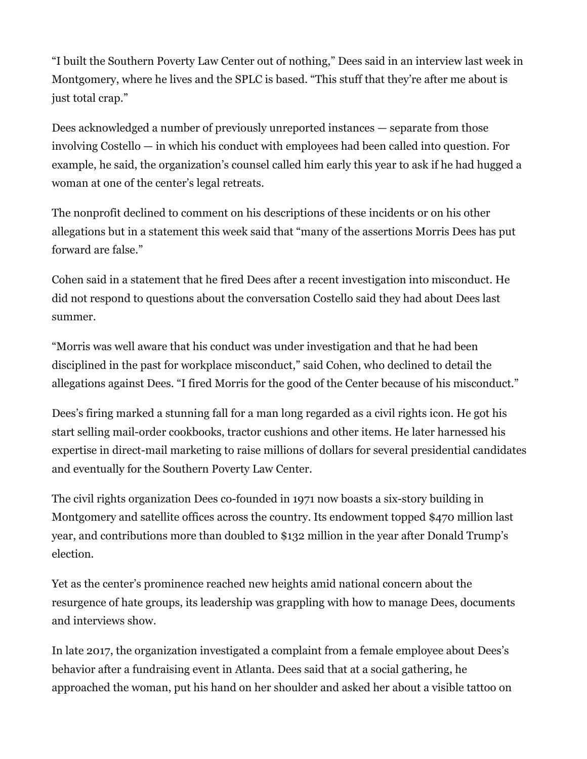"I built the Southern Poverty Law Center out of nothing," Dees said in an interview last week in Montgomery, where he lives and the SPLC is based. "This stuff that they're after me about is just total crap."

Dees acknowledged a number of previously unreported instances — separate from those involving Costello — in which his conduct with employees had been called into question. For example, he said, the organization's counsel called him early this year to ask if he had hugged a woman at one of the center's legal retreats.

The nonprofit declined to comment on his descriptions of these incidents or on his other allegations but in a statement this week said that "many of the assertions Morris Dees has put forward are false."

Cohen said in a statement that he fired Dees after a recent investigation into misconduct. He did not respond to questions about the conversation Costello said they had about Dees last summer.

"Morris was well aware that his conduct was under investigation and that he had been disciplined in the past for workplace misconduct," said Cohen, who declined to detail the allegations against Dees. "I fired Morris for the good of the Center because of his misconduct."

Dees's firing marked a stunning fall for a man long regarded as a civil rights icon. He got his start selling mail-order cookbooks, tractor cushions and other items. He later harnessed his expertise in direct-mail marketing to raise millions of dollars for several presidential candidates and eventually for the Southern Poverty Law Center.

The civil rights organization Dees co-founded in 1971 now boasts a six-story building in Montgomery and satellite offices across the country. Its endowment topped \$470 million last year, and contributions more than doubled to \$132 million in the year after Donald Trump's election.

Yet as the center's prominence reached new heights amid national concern about the resurgence of hate groups, its leadership was grappling with how to manage Dees, documents and interviews show.

In late 2017, the organization investigated a complaint from a female employee about Dees's behavior after a fundraising event in Atlanta. Dees said that at a social gathering, he approached the woman, put his hand on her shoulder and asked her about a visible tattoo on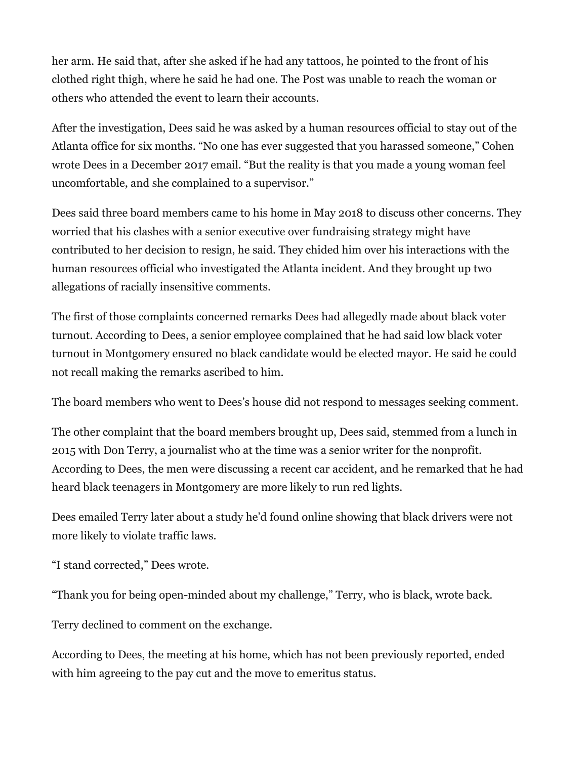her arm. He said that, after she asked if he had any tattoos, he pointed to the front of his clothed right thigh, where he said he had one. The Post was unable to reach the woman or others who attended the event to learn their accounts.

After the investigation, Dees said he was asked by a human resources official to stay out of the Atlanta office for six months. "No one has ever suggested that you harassed someone," Cohen wrote Dees in a December 2017 email. "But the reality is that you made a young woman feel uncomfortable, and she complained to a supervisor."

Dees said three board members came to his home in May 2018 to discuss other concerns. They worried that his clashes with a senior executive over fundraising strategy might have contributed to her decision to resign, he said. They chided him over his interactions with the human resources official who investigated the Atlanta incident. And they brought up two allegations of racially insensitive comments.

The first of those complaints concerned remarks Dees had allegedly made about black voter turnout. According to Dees, a senior employee complained that he had said low black voter turnout in Montgomery ensured no black candidate would be elected mayor. He said he could not recall making the remarks ascribed to him.

The board members who went to Dees's house did not respond to messages seeking comment.

The other complaint that the board members brought up, Dees said, stemmed from a lunch in 2015 with Don Terry, a journalist who at the time was a senior writer for the nonprofit. According to Dees, the men were discussing a recent car accident, and he remarked that he had heard black teenagers in Montgomery are more likely to run red lights.

Dees emailed Terry later about a study he'd found online showing that black drivers were not more likely to violate traffic laws.

"I stand corrected," Dees wrote.

"Thank you for being open-minded about my challenge," Terry, who is black, wrote back.

Terry declined to comment on the exchange.

According to Dees, the meeting at his home, which has not been previously reported, ended with him agreeing to the pay cut and the move to emeritus status.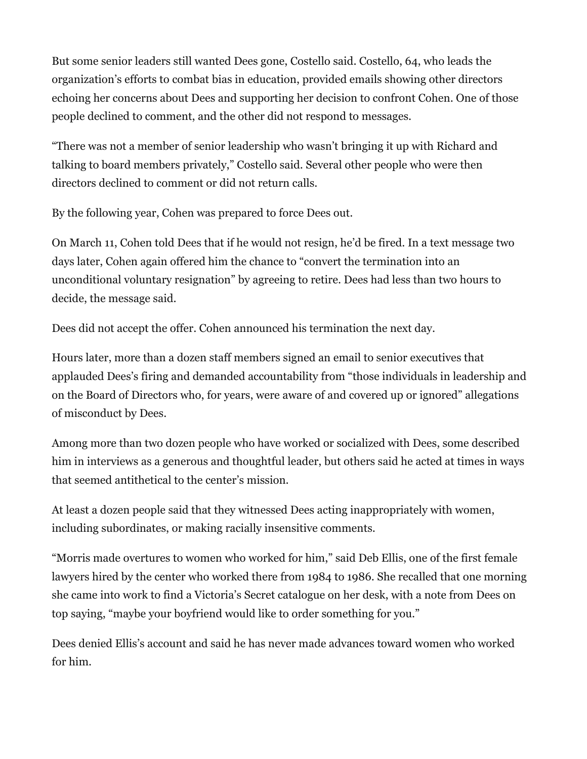But some senior leaders still wanted Dees gone, Costello said. Costello, 64, who leads the organization's efforts to combat bias in education, provided emails showing other directors echoing her concerns about Dees and supporting her decision to confront Cohen. One of those people declined to comment, and the other did not respond to messages.

"There was not a member of senior leadership who wasn't bringing it up with Richard and talking to board members privately," Costello said. Several other people who were then directors declined to comment or did not return calls.

By the following year, Cohen was prepared to force Dees out.

On March 11, Cohen told Dees that if he would not resign, he'd be fired. In a text message two days later, Cohen again offered him the chance to "convert the termination into an unconditional voluntary resignation" by agreeing to retire. Dees had less than two hours to decide, the message said.

Dees did not accept the offer. Cohen announced his termination the next day.

Hours later, more than a dozen staff members signed an email to senior executives that applauded Dees's firing and demanded accountability from "those individuals in leadership and on the Board of Directors who, for years, were aware of and covered up or ignored" allegations of misconduct by Dees.

Among more than two dozen people who have worked or socialized with Dees, some described him in interviews as a generous and thoughtful leader, but others said he acted at times in ways that seemed antithetical to the center's mission.

At least a dozen people said that they witnessed Dees acting inappropriately with women, including subordinates, or making racially insensitive comments.

"Morris made overtures to women who worked for him," said Deb Ellis, one of the first female lawyers hired by the center who worked there from 1984 to 1986. She recalled that one morning she came into work to find a Victoria's Secret catalogue on her desk, with a note from Dees on top saying, "maybe your boyfriend would like to order something for you."

Dees denied Ellis's account and said he has never made advances toward women who worked for him.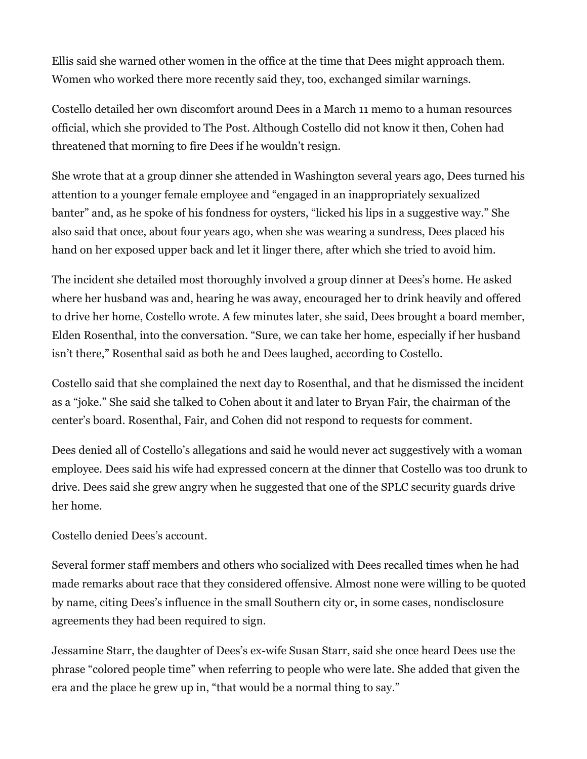Ellis said she warned other women in the office at the time that Dees might approach them. Women who worked there more recently said they, too, exchanged similar warnings.

Costello detailed her own discomfort around Dees in a March 11 memo to a human resources official, which she provided to The Post. Although Costello did not know it then, Cohen had threatened that morning to fire Dees if he wouldn't resign.

She wrote that at a group dinner she attended in Washington several years ago, Dees turned his attention to a younger female employee and "engaged in an inappropriately sexualized banter" and, as he spoke of his fondness for oysters, "licked his lips in a suggestive way." She also said that once, about four years ago, when she was wearing a sundress, Dees placed his hand on her exposed upper back and let it linger there, after which she tried to avoid him.

The incident she detailed most thoroughly involved a group dinner at Dees's home. He asked where her husband was and, hearing he was away, encouraged her to drink heavily and offered to drive her home, Costello wrote. A few minutes later, she said, Dees brought a board member, Elden Rosenthal, into the conversation. "Sure, we can take her home, especially if her husband isn't there," Rosenthal said as both he and Dees laughed, according to Costello.

Costello said that she complained the next day to Rosenthal, and that he dismissed the incident as a "joke." She said she talked to Cohen about it and later to Bryan Fair, the chairman of the center's board. Rosenthal, Fair, and Cohen did not respond to requests for comment.

Dees denied all of Costello's allegations and said he would never act suggestively with a woman employee. Dees said his wife had expressed concern at the dinner that Costello was too drunk to drive. Dees said she grew angry when he suggested that one of the SPLC security guards drive her home.

# Costello denied Dees's account.

Several former staff members and others who socialized with Dees recalled times when he had made remarks about race that they considered offensive. Almost none were willing to be quoted by name, citing Dees's influence in the small Southern city or, in some cases, nondisclosure agreements they had been required to sign.

Jessamine Starr, the daughter of Dees's ex-wife Susan Starr, said she once heard Dees use the phrase "colored people time" when referring to people who were late. She added that given the era and the place he grew up in, "that would be a normal thing to say."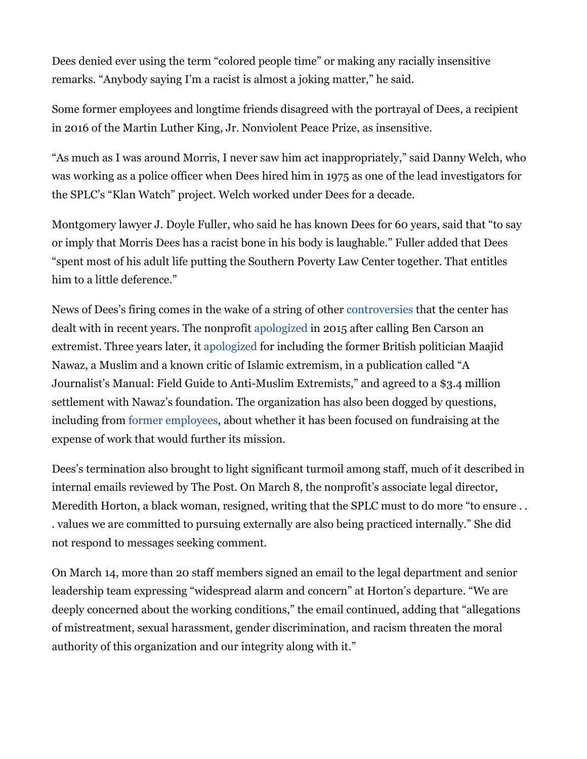Dees denied ever using the term "colored people time" or making any racially insensitive remarks. "Anybody saying I'm a racist is almost a joking matter," he said.

Some former employees and longtime friends disagreed with the portrayal of Dees, a recipient in 2016 of the Martin Luther King, Jr. Nonviolent Peace Prize, as insensitive.

"As much as I was around Morris, I never saw him act inappropriately," said Danny Welch, who was working as a police officer when Dees hired him in 1975 as one of the lead investigators for the SPLC's "Klan Watch" project. Welch worked under Dees for a decade.

Montgomery lawyer J. Doyle Fuller, who said he has known Dees for 60 years, said that "to say or imply that Morris Dees has a racist bone in his body is laughable." Fuller added that Dees "spent most of his adult life putting the Southern Poverty Law Center together. That entitles him to a little deference."

News of Dees's firing comes in the wake of a string of other controversies that the center has dealt with in recent years. The nonprofit apologized in 2015 after calling Ben Carson an extremist. Three years later, it apologized for including the former British politician Maajid Nawaz, a Muslim and a known critic of Islamic extremism, in a publication called "A Journalist's Manual: Field Guide to Anti-Muslim Extremists," and agreed to a \$3.4 million settlement with Nawaz's foundation. The organization has also been dogged by questions, including from former employees, about whether it has been focused on fundraising at the expense of work that would further its mission.

Dees's termination also brought to light significant turmoil among staff, much of it described in internal emails reviewed by The Post. On March 8, the nonprofit's associate legal director, Meredith Horton, a black woman, resigned, writing that the SPLC must to do more "to ensure . . . values we are committed to pursuing externally are also being practiced internally." She did not respond to messages seeking comment.

On March 14, more than 20 staff members signed an email to the legal department and senior leadership team expressing "widespread alarm and concern" at Horton's departure. "We are deeply concerned about the working conditions," the email continued, adding that "allegations of mistreatment, sexual harassment, gender discrimination, and racism threaten the moral authority of this organization and our integrity along with it."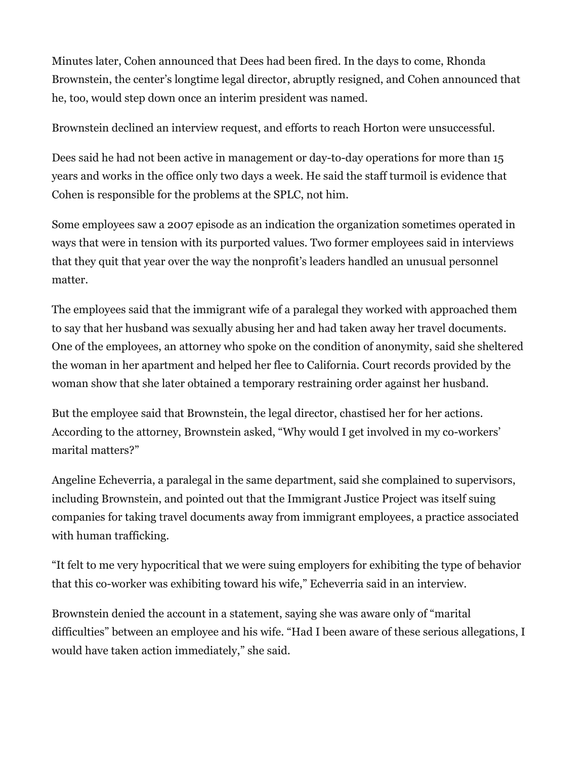Minutes later, Cohen announced that Dees had been fired. In the days to come, Rhonda Brownstein, the center's longtime legal director, abruptly resigned, and Cohen announced that he, too, would step down once an interim president was named.

Brownstein declined an interview request, and efforts to reach Horton were unsuccessful.

Dees said he had not been active in management or day-to-day operations for more than 15 years and works in the office only two days a week. He said the staff turmoil is evidence that Cohen is responsible for the problems at the SPLC, not him.

Some employees saw a 2007 episode as an indication the organization sometimes operated in ways that were in tension with its purported values. Two former employees said in interviews that they quit that year over the way the nonprofit's leaders handled an unusual personnel matter.

The employees said that the immigrant wife of a paralegal they worked with approached them to say that her husband was sexually abusing her and had taken away her travel documents. One of the employees, an attorney who spoke on the condition of anonymity, said she sheltered the woman in her apartment and helped her flee to California. Court records provided by the woman show that she later obtained a temporary restraining order against her husband.

But the employee said that Brownstein, the legal director, chastised her for her actions. According to the attorney, Brownstein asked, "Why would I get involved in my co-workers' marital matters?"

Angeline Echeverria, a paralegal in the same department, said she complained to supervisors, including Brownstein, and pointed out that the Immigrant Justice Project was itself suing companies for taking travel documents away from immigrant employees, a practice associated with human trafficking.

"It felt to me very hypocritical that we were suing employers for exhibiting the type of behavior that this co-worker was exhibiting toward his wife," Echeverria said in an interview.

Brownstein denied the account in a statement, saying she was aware only of "marital difficulties" between an employee and his wife. "Had I been aware of these serious allegations, I would have taken action immediately," she said.